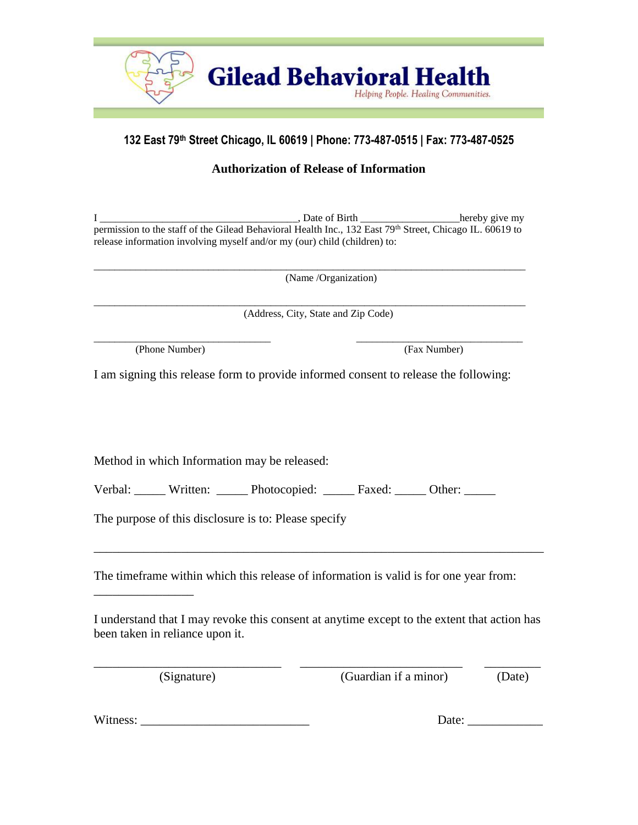

# **132 East 79th Street Chicago, IL 60619 | Phone: 773-487-0515 | Fax: 773-487-0525**

## **Authorization of Release of Information**

I consider the set of Birth the constant of Birth the hereby give my permission to the staff of the Gilead Behavioral Health Inc., 132 East 79<sup>th</sup> Street, Chicago IL. 60619 to release information involving myself and/or my (our) child (children) to:

\_\_\_\_\_\_\_\_\_\_\_\_\_\_\_\_\_\_\_\_\_\_\_\_\_\_\_\_\_\_\_\_\_\_\_\_\_\_\_\_\_\_\_\_\_\_\_\_\_\_\_\_\_\_\_\_\_\_\_\_\_\_\_\_\_\_\_\_\_\_\_\_\_\_\_\_\_\_\_\_\_\_\_

(Name /Organization)

\_\_\_\_\_\_\_\_\_\_\_\_\_\_\_\_\_\_\_\_\_\_\_\_\_\_\_\_\_\_\_\_\_\_\_\_\_\_\_\_\_\_\_\_\_\_\_\_\_\_\_\_\_\_\_\_\_\_\_\_\_\_\_\_\_\_\_\_\_\_\_\_\_\_\_\_\_\_\_\_\_\_\_ (Address, City, State and Zip Code)

(Phone Number) (Fax Number)

I am signing this release form to provide informed consent to release the following:

\_\_\_\_\_\_\_\_\_\_\_\_\_\_\_\_\_\_\_\_\_\_\_\_\_\_\_\_\_\_\_\_\_\_ \_\_\_\_\_\_\_\_\_\_\_\_\_\_\_\_\_\_\_\_\_\_\_\_\_\_\_\_\_\_\_\_

Method in which Information may be released:

Verbal: Written: Depression Photocopied: 2008 Faxed: 2008 Other:

The purpose of this disclosure is to: Please specify

The timeframe within which this release of information is valid is for one year from:

I understand that I may revoke this consent at anytime except to the extent that action has been taken in reliance upon it.

\_\_\_\_\_\_\_\_\_\_\_\_\_\_\_\_\_\_\_\_\_\_\_\_\_\_\_\_\_\_ \_\_\_\_\_\_\_\_\_\_\_\_\_\_\_\_\_\_\_\_\_\_\_\_\_\_ \_\_\_\_\_\_\_\_\_

\_\_\_\_\_\_\_\_\_\_\_\_\_\_\_\_\_\_\_\_\_\_\_\_\_\_\_\_\_\_\_\_\_\_\_\_\_\_\_\_\_\_\_\_\_\_\_\_\_\_\_\_\_\_\_\_\_\_\_\_\_\_\_\_\_\_\_\_\_\_\_\_

\_\_\_\_\_\_\_\_\_\_\_\_\_\_\_\_

(Signature) (Guardian if a minor) (Date)

Witness: \_\_\_\_\_\_\_\_\_\_\_\_\_\_\_\_\_\_\_\_\_\_\_\_\_\_\_ Date: \_\_\_\_\_\_\_\_\_\_\_\_